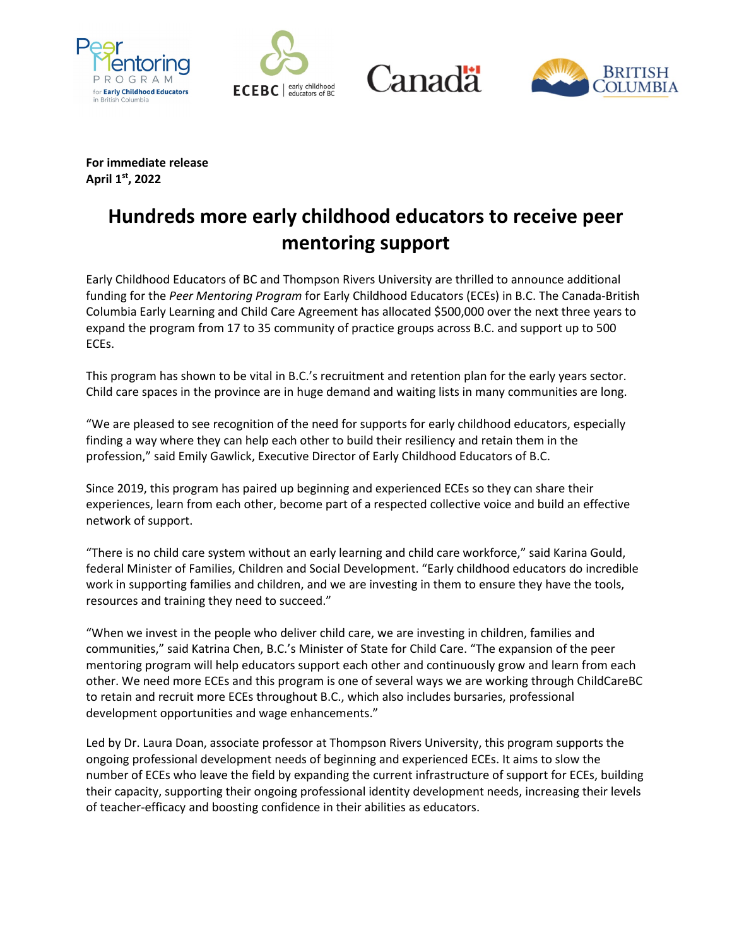







**For immediate release April 1st, 2022**

## **Hundreds more early childhood educators to receive peer mentoring support**

Early Childhood Educators of BC and Thompson Rivers University are thrilled to announce additional funding for the *Peer Mentoring Program* for Early Childhood Educators (ECEs) in B.C. The Canada-British Columbia Early Learning and Child Care Agreement has allocated \$500,000 over the next three years to expand the program from 17 to 35 community of practice groups across B.C. and support up to 500 ECEs.

This program has shown to be vital in B.C.'s recruitment and retention plan for the early years sector. Child care spaces in the province are in huge demand and waiting lists in many communities are long.

"We are pleased to see recognition of the need for supports for early childhood educators, especially finding a way where they can help each other to build their resiliency and retain them in the profession," said Emily Gawlick, Executive Director of Early Childhood Educators of B.C.

Since 2019, this program has paired up beginning and experienced ECEs so they can share their experiences, learn from each other, become part of a respected collective voice and build an effective network of support.

"There is no child care system without an early learning and child care workforce," said Karina Gould, federal Minister of Families, Children and Social Development. "Early childhood educators do incredible work in supporting families and children, and we are investing in them to ensure they have the tools, resources and training they need to succeed."

"When we invest in the people who deliver child care, we are investing in children, families and communities," said Katrina Chen, B.C.'s Minister of State for Child Care. "The expansion of the peer mentoring program will help educators support each other and continuously grow and learn from each other. We need more ECEs and this program is one of several ways we are working through ChildCareBC to retain and recruit more ECEs throughout B.C., which also includes bursaries, professional development opportunities and wage enhancements."

Led by Dr. Laura Doan, associate professor at Thompson Rivers University, this program supports the ongoing professional development needs of beginning and experienced ECEs. It aims to slow the number of ECEs who leave the field by expanding the current infrastructure of support for ECEs, building their capacity, supporting their ongoing professional identity development needs, increasing their levels of teacher-efficacy and boosting confidence in their abilities as educators.